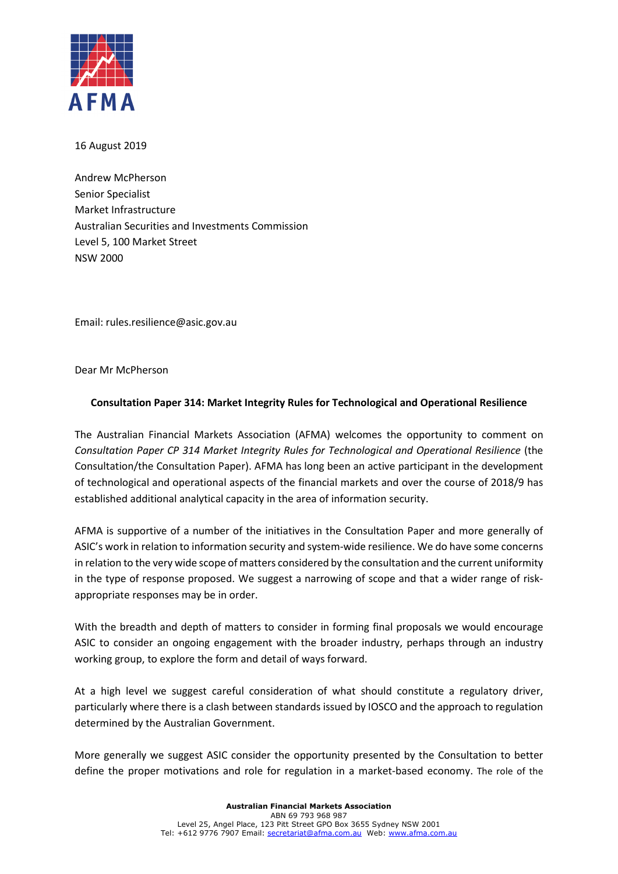

16 August 2019

Andrew McPherson Senior Specialist Market Infrastructure Australian Securities and Investments Commission Level 5, 100 Market Street NSW 2000

Email: rules.resilience@asic.gov.au

Dear Mr McPherson

# **Consultation Paper 314: Market Integrity Rules for Technological and Operational Resilience**

The Australian Financial Markets Association (AFMA) welcomes the opportunity to comment on *Consultation Paper CP 314 Market Integrity Rules for Technological and Operational Resilience* (the Consultation/the Consultation Paper). AFMA has long been an active participant in the development of technological and operational aspects of the financial markets and over the course of 2018/9 has established additional analytical capacity in the area of information security.

AFMA is supportive of a number of the initiatives in the Consultation Paper and more generally of ASIC's work in relation to information security and system-wide resilience. We do have some concerns in relation to the very wide scope of matters considered by the consultation and the current uniformity in the type of response proposed. We suggest a narrowing of scope and that a wider range of riskappropriate responses may be in order.

With the breadth and depth of matters to consider in forming final proposals we would encourage ASIC to consider an ongoing engagement with the broader industry, perhaps through an industry working group, to explore the form and detail of ways forward.

At a high level we suggest careful consideration of what should constitute a regulatory driver, particularly where there is a clash between standards issued by IOSCO and the approach to regulation determined by the Australian Government.

More generally we suggest ASIC consider the opportunity presented by the Consultation to better define the proper motivations and role for regulation in a market-based economy. The role of the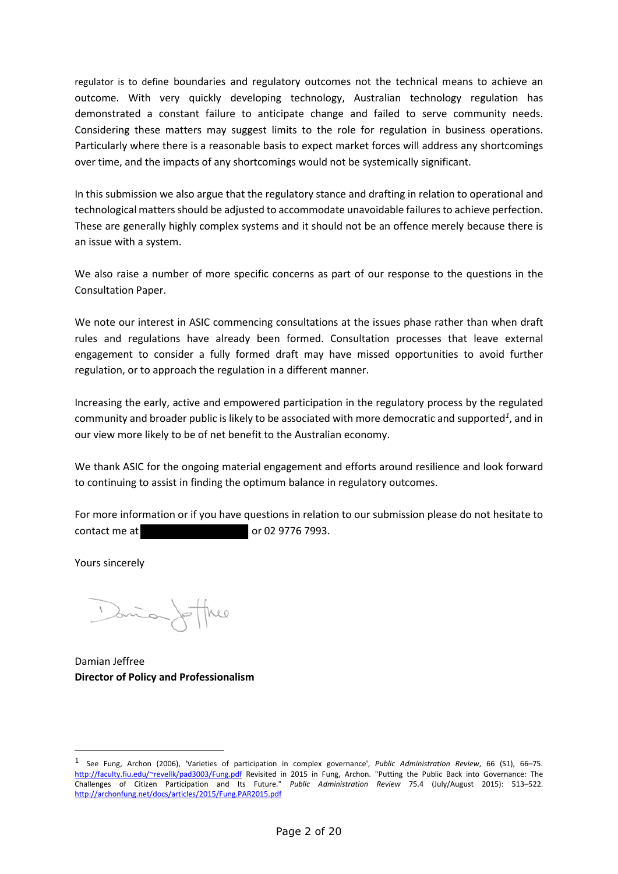regulator is to define boundaries and regulatory outcomes not the technical means to achieve an outcome. With very quickly developing technology, Australian technology regulation has demonstrated a constant failure to anticipate change and failed to serve community needs. Considering these matters may suggest limits to the role for regulation in business operations. Particularly where there is a reasonable basis to expect market forces will address any shortcomings over time, and the impacts of any shortcomings would not be systemically significant.

In this submission we also argue that the regulatory stance and drafting in relation to operational and technological matters should be adjusted to accommodate unavoidable failures to achieve perfection. These are generally highly complex systems and it should not be an offence merely because there is an issue with a system.

We also raise a number of more specific concerns as part of our response to the questions in the Consultation Paper.

We note our interest in ASIC commencing consultations at the issues phase rather than when draft rules and regulations have already been formed. Consultation processes that leave external engagement to consider a fully formed draft may have missed opportunities to avoid further regulation, or to approach the regulation in a different manner.

Increasing the early, active and empowered participation in the regulatory process by the regulated community and broader public is likely to be associated with more democratic and supported*<sup>1</sup>* , and in our view more likely to be of net benefit to the Australian economy.

We thank ASIC for the ongoing material engagement and efforts around resilience and look forward to continuing to assist in finding the optimum balance in regulatory outcomes.

For more information or if you have questions in relation to our submission please do not hesitate to contact me at 02 9776 7993.

Yours sincerely

-

Santa /

Damian Jeffree **Director of Policy and Professionalism**

<sup>1</sup> See Fung, Archon (2006), 'Varieties of participation in complex governance', *Public Administration Review*, 66 (S1), 66–75. http://faculty.fiu.edu/~revellk/pad3003/Fung.pdf Revisited in 2015 in Fung, Archon. "Putting the Public Back into Governance: The Challenges of Citizen Participation and Its Future." *Public Administration Review* 75.4 (July/August 2015): 513–522. http://archonfung.net/docs/articles/2015/Fung.PAR2015.pdf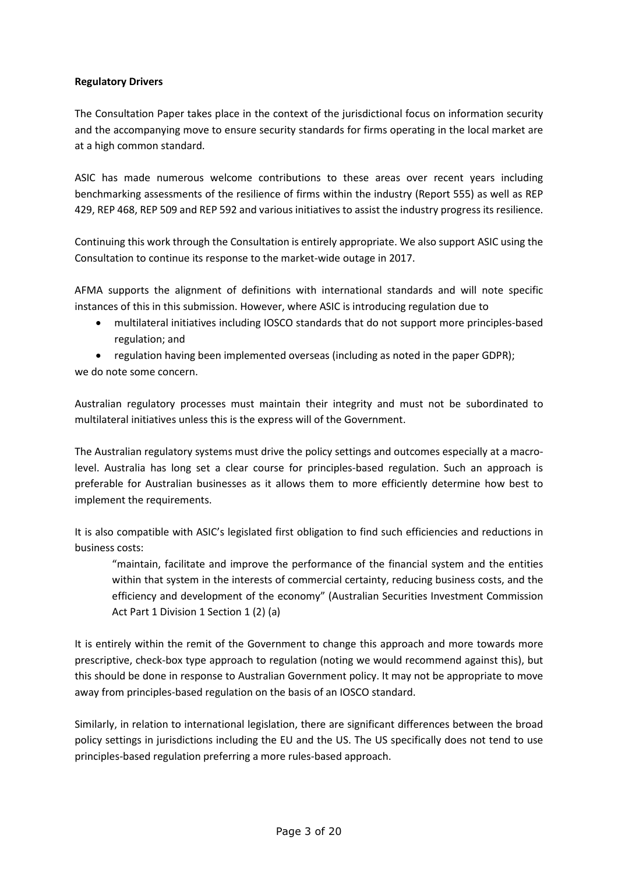# **Regulatory Drivers**

The Consultation Paper takes place in the context of the jurisdictional focus on information security and the accompanying move to ensure security standards for firms operating in the local market are at a high common standard.

ASIC has made numerous welcome contributions to these areas over recent years including benchmarking assessments of the resilience of firms within the industry (Report 555) as well as REP 429, REP 468, REP 509 and REP 592 and various initiatives to assist the industry progress its resilience.

Continuing this work through the Consultation is entirely appropriate. We also support ASIC using the Consultation to continue its response to the market-wide outage in 2017.

AFMA supports the alignment of definitions with international standards and will note specific instances of this in this submission. However, where ASIC is introducing regulation due to

- multilateral initiatives including IOSCO standards that do not support more principles-based regulation; and
- regulation having been implemented overseas (including as noted in the paper GDPR);

we do note some concern.

Australian regulatory processes must maintain their integrity and must not be subordinated to multilateral initiatives unless this is the express will of the Government.

The Australian regulatory systems must drive the policy settings and outcomes especially at a macrolevel. Australia has long set a clear course for principles-based regulation. Such an approach is preferable for Australian businesses as it allows them to more efficiently determine how best to implement the requirements.

It is also compatible with ASIC's legislated first obligation to find such efficiencies and reductions in business costs:

"maintain, facilitate and improve the performance of the financial system and the entities within that system in the interests of commercial certainty, reducing business costs, and the efficiency and development of the economy" (Australian Securities Investment Commission Act Part 1 Division 1 Section 1 (2) (a)

It is entirely within the remit of the Government to change this approach and more towards more prescriptive, check-box type approach to regulation (noting we would recommend against this), but this should be done in response to Australian Government policy. It may not be appropriate to move away from principles-based regulation on the basis of an IOSCO standard.

Similarly, in relation to international legislation, there are significant differences between the broad policy settings in jurisdictions including the EU and the US. The US specifically does not tend to use principles-based regulation preferring a more rules-based approach.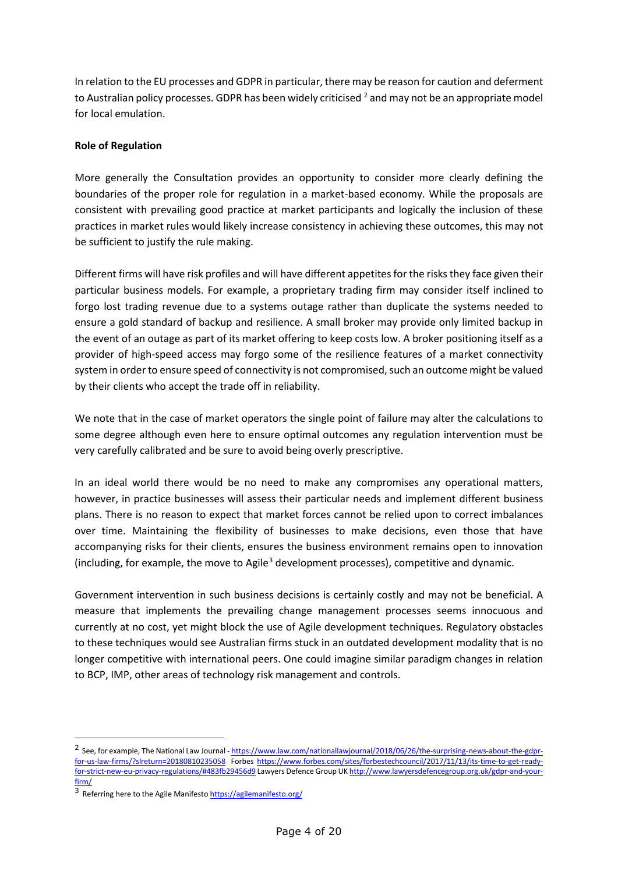In relation to the EU processes and GDPR in particular, there may be reason for caution and deferment to Australian policy processes. GDPR has been widely criticised  $2$  and may not be an appropriate model for local emulation.

## **Role of Regulation**

More generally the Consultation provides an opportunity to consider more clearly defining the boundaries of the proper role for regulation in a market-based economy. While the proposals are consistent with prevailing good practice at market participants and logically the inclusion of these practices in market rules would likely increase consistency in achieving these outcomes, this may not be sufficient to justify the rule making.

Different firms will have risk profiles and will have different appetites for the risks they face given their particular business models. For example, a proprietary trading firm may consider itself inclined to forgo lost trading revenue due to a systems outage rather than duplicate the systems needed to ensure a gold standard of backup and resilience. A small broker may provide only limited backup in the event of an outage as part of its market offering to keep costs low. A broker positioning itself as a provider of high-speed access may forgo some of the resilience features of a market connectivity system in order to ensure speed of connectivity is not compromised, such an outcome might be valued by their clients who accept the trade off in reliability.

We note that in the case of market operators the single point of failure may alter the calculations to some degree although even here to ensure optimal outcomes any regulation intervention must be very carefully calibrated and be sure to avoid being overly prescriptive.

In an ideal world there would be no need to make any compromises any operational matters, however, in practice businesses will assess their particular needs and implement different business plans. There is no reason to expect that market forces cannot be relied upon to correct imbalances over time. Maintaining the flexibility of businesses to make decisions, even those that have accompanying risks for their clients, ensures the business environment remains open to innovation (including, for example, the move to Agile<sup>3</sup> development processes), competitive and dynamic.

Government intervention in such business decisions is certainly costly and may not be beneficial. A measure that implements the prevailing change management processes seems innocuous and currently at no cost, yet might block the use of Agile development techniques. Regulatory obstacles to these techniques would see Australian firms stuck in an outdated development modality that is no longer competitive with international peers. One could imagine similar paradigm changes in relation to BCP, IMP, other areas of technology risk management and controls.

-

<sup>&</sup>lt;sup>2</sup> See, for example, The National Law Journal - https://www.law.com/nationallawjournal/2018/06/26/the-surprising-news-about-the-gdprfor-us-law-firms/?slreturn=20180810235058 Forbes https://www.forbes.com/sites/forbestechcouncil/2017/11/13/its-time-to-get-readyfor-strict-new-eu-privacy-regulations/#483fb29456d9 Lawyers Defence Group UK http://www.lawyersdefencegroup.org.uk/gdpr-and-yourfirm/

<sup>3</sup> Referring here to the Agile Manifesto https://agilemanifesto.org/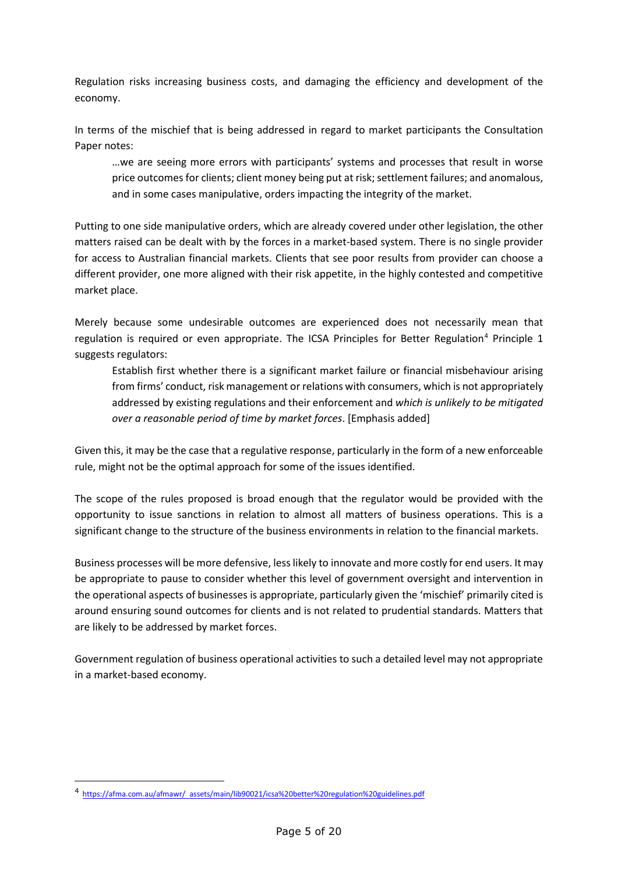Regulation risks increasing business costs, and damaging the efficiency and development of the economy.

In terms of the mischief that is being addressed in regard to market participants the Consultation Paper notes:

…we are seeing more errors with participants' systems and processes that result in worse price outcomes for clients; client money being put at risk; settlement failures; and anomalous, and in some cases manipulative, orders impacting the integrity of the market.

Putting to one side manipulative orders, which are already covered under other legislation, the other matters raised can be dealt with by the forces in a market-based system. There is no single provider for access to Australian financial markets. Clients that see poor results from provider can choose a different provider, one more aligned with their risk appetite, in the highly contested and competitive market place.

Merely because some undesirable outcomes are experienced does not necessarily mean that regulation is required or even appropriate. The ICSA Principles for Better Regulation<sup>4</sup> Principle 1 suggests regulators:

Establish first whether there is a significant market failure or financial misbehaviour arising from firms' conduct, risk management or relations with consumers, which is not appropriately addressed by existing regulations and their enforcement and *which is unlikely to be mitigated over a reasonable period of time by market forces*. [Emphasis added]

Given this, it may be the case that a regulative response, particularly in the form of a new enforceable rule, might not be the optimal approach for some of the issues identified.

The scope of the rules proposed is broad enough that the regulator would be provided with the opportunity to issue sanctions in relation to almost all matters of business operations. This is a significant change to the structure of the business environments in relation to the financial markets.

Business processes will be more defensive, less likely to innovate and more costly for end users. It may be appropriate to pause to consider whether this level of government oversight and intervention in the operational aspects of businesses is appropriate, particularly given the 'mischief' primarily cited is around ensuring sound outcomes for clients and is not related to prudential standards. Matters that are likely to be addressed by market forces.

Government regulation of business operational activities to such a detailed level may not appropriate in a market-based economy.

-

<sup>4</sup> https://afma.com.au/afmawr/ assets/main/lib90021/icsa%20better%20regulation%20guidelines.pdf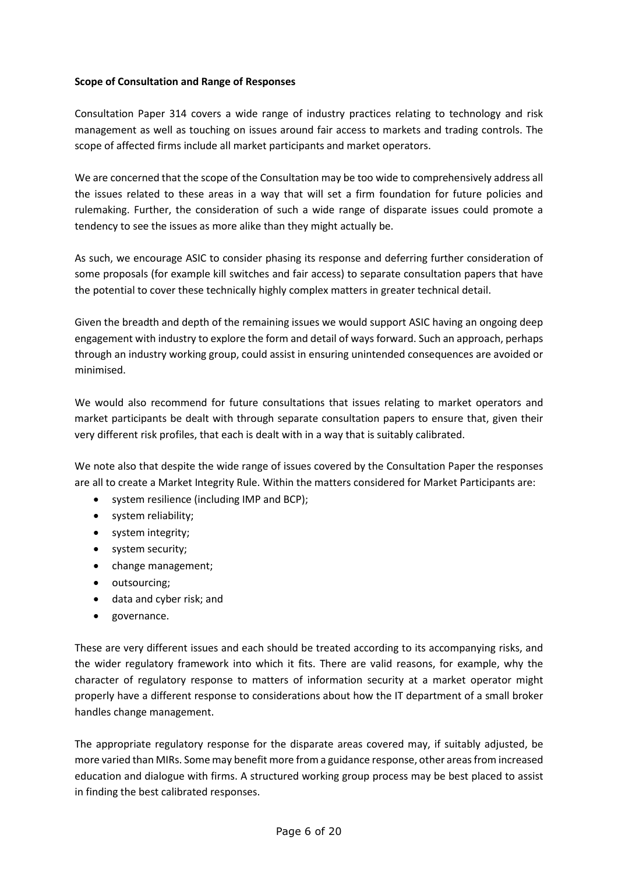## **Scope of Consultation and Range of Responses**

Consultation Paper 314 covers a wide range of industry practices relating to technology and risk management as well as touching on issues around fair access to markets and trading controls. The scope of affected firms include all market participants and market operators.

We are concerned that the scope of the Consultation may be too wide to comprehensively address all the issues related to these areas in a way that will set a firm foundation for future policies and rulemaking. Further, the consideration of such a wide range of disparate issues could promote a tendency to see the issues as more alike than they might actually be.

As such, we encourage ASIC to consider phasing its response and deferring further consideration of some proposals (for example kill switches and fair access) to separate consultation papers that have the potential to cover these technically highly complex matters in greater technical detail.

Given the breadth and depth of the remaining issues we would support ASIC having an ongoing deep engagement with industry to explore the form and detail of ways forward. Such an approach, perhaps through an industry working group, could assist in ensuring unintended consequences are avoided or minimised.

We would also recommend for future consultations that issues relating to market operators and market participants be dealt with through separate consultation papers to ensure that, given their very different risk profiles, that each is dealt with in a way that is suitably calibrated.

We note also that despite the wide range of issues covered by the Consultation Paper the responses are all to create a Market Integrity Rule. Within the matters considered for Market Participants are:

- system resilience (including IMP and BCP);
- system reliability;
- system integrity;
- system security;
- change management;
- outsourcing;
- data and cyber risk; and
- governance.

These are very different issues and each should be treated according to its accompanying risks, and the wider regulatory framework into which it fits. There are valid reasons, for example, why the character of regulatory response to matters of information security at a market operator might properly have a different response to considerations about how the IT department of a small broker handles change management.

The appropriate regulatory response for the disparate areas covered may, if suitably adjusted, be more varied than MIRs. Some may benefit more from a guidance response, other areas from increased education and dialogue with firms. A structured working group process may be best placed to assist in finding the best calibrated responses.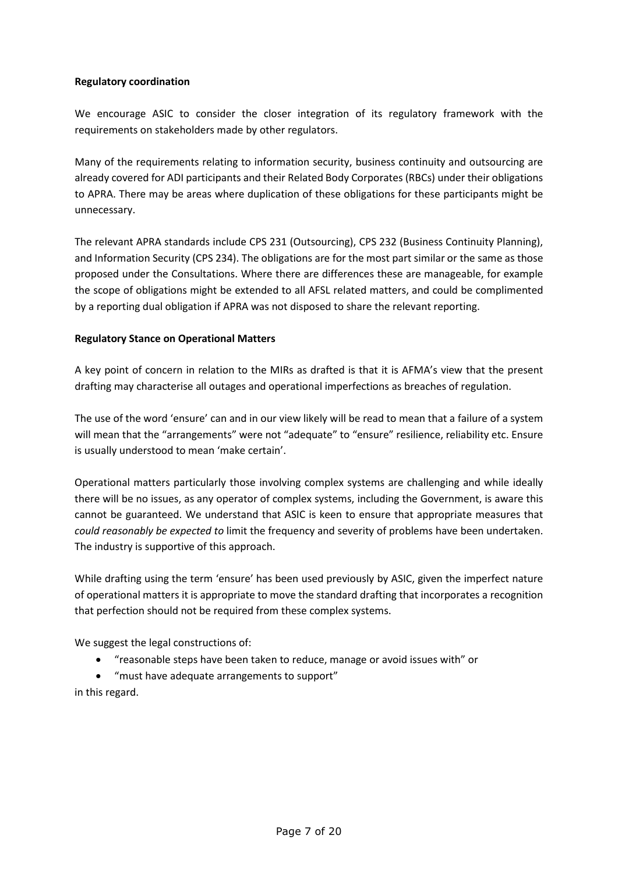# **Regulatory coordination**

We encourage ASIC to consider the closer integration of its regulatory framework with the requirements on stakeholders made by other regulators.

Many of the requirements relating to information security, business continuity and outsourcing are already covered for ADI participants and their Related Body Corporates (RBCs) under their obligations to APRA. There may be areas where duplication of these obligations for these participants might be unnecessary.

The relevant APRA standards include CPS 231 (Outsourcing), CPS 232 (Business Continuity Planning), and Information Security (CPS 234). The obligations are for the most part similar or the same as those proposed under the Consultations. Where there are differences these are manageable, for example the scope of obligations might be extended to all AFSL related matters, and could be complimented by a reporting dual obligation if APRA was not disposed to share the relevant reporting.

# **Regulatory Stance on Operational Matters**

A key point of concern in relation to the MIRs as drafted is that it is AFMA's view that the present drafting may characterise all outages and operational imperfections as breaches of regulation.

The use of the word 'ensure' can and in our view likely will be read to mean that a failure of a system will mean that the "arrangements" were not "adequate" to "ensure" resilience, reliability etc. Ensure is usually understood to mean 'make certain'.

Operational matters particularly those involving complex systems are challenging and while ideally there will be no issues, as any operator of complex systems, including the Government, is aware this cannot be guaranteed. We understand that ASIC is keen to ensure that appropriate measures that *could reasonably be expected to* limit the frequency and severity of problems have been undertaken. The industry is supportive of this approach.

While drafting using the term 'ensure' has been used previously by ASIC, given the imperfect nature of operational matters it is appropriate to move the standard drafting that incorporates a recognition that perfection should not be required from these complex systems.

We suggest the legal constructions of:

• "reasonable steps have been taken to reduce, manage or avoid issues with" or

• "must have adequate arrangements to support" in this regard.

Page 7 of 20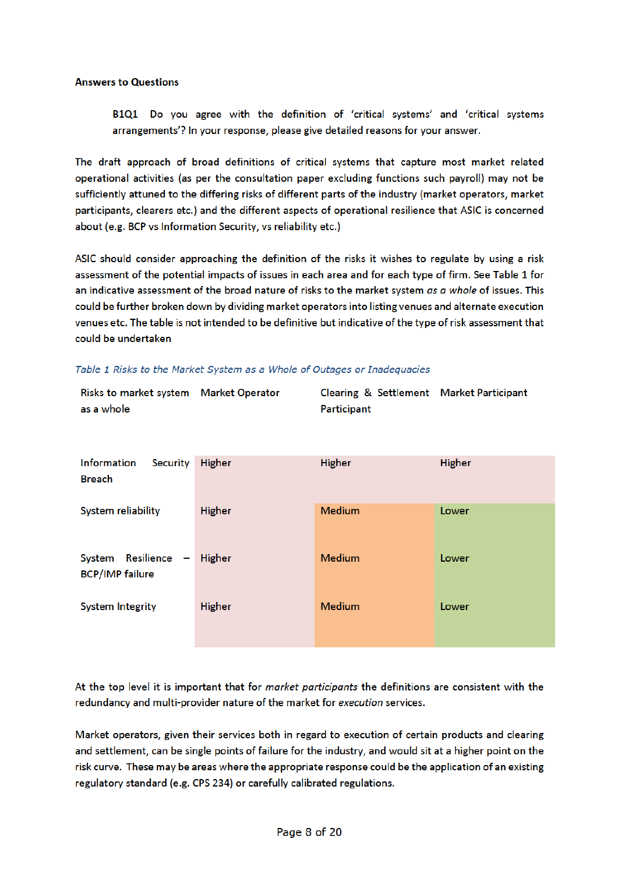#### **Answers to Questions**

B1Q1 Do you agree with the definition of 'critical systems' and 'critical systems arrangements'? In your response, please give detailed reasons for your answer.

The draft approach of broad definitions of critical systems that capture most market related operational activities (as per the consultation paper excluding functions such payroll) may not be sufficiently attuned to the differing risks of different parts of the industry (market operators, market participants, clearers etc.) and the different aspects of operational resilience that ASIC is concerned about (e.g. BCP vs Information Security, vs reliability etc.)

ASIC should consider approaching the definition of the risks it wishes to regulate by using a risk assessment of the potential impacts of issues in each area and for each type of firm. See Table 1 for an indicative assessment of the broad nature of risks to the market system as a whole of issues. This could be further broken down by dividing market operators into listing venues and alternate execution venues etc. The table is not intended to be definitive but indicative of the type of risk assessment that could be undertaken

|  |  | Table 1 Risks to the Market System as a Whole of Outages or Inadequacies |  |  |  |  |
|--|--|--------------------------------------------------------------------------|--|--|--|--|
|  |  |                                                                          |  |  |  |  |

| Risks to market system Market Operator | Clearing & Settlement Market Participant |  |
|----------------------------------------|------------------------------------------|--|
| as a whole                             | Participant                              |  |

| Information<br>Security<br><b>Breach</b>      | <b>Higher</b> | <b>Higher</b> | <b>Higher</b> |
|-----------------------------------------------|---------------|---------------|---------------|
| System reliability                            | <b>Higher</b> | <b>Medium</b> | Lower         |
| System Resilience -<br><b>BCP/IMP failure</b> | Higher        | <b>Medium</b> | Lower         |
| <b>System Integrity</b>                       | <b>Higher</b> | <b>Medium</b> | Lower         |

At the top level it is important that for market participants the definitions are consistent with the redundancy and multi-provider nature of the market for execution services.

Market operators, given their services both in regard to execution of certain products and clearing and settlement, can be single points of failure for the industry, and would sit at a higher point on the risk curve. These may be areas where the appropriate response could be the application of an existing regulatory standard (e.g. CPS 234) or carefully calibrated regulations.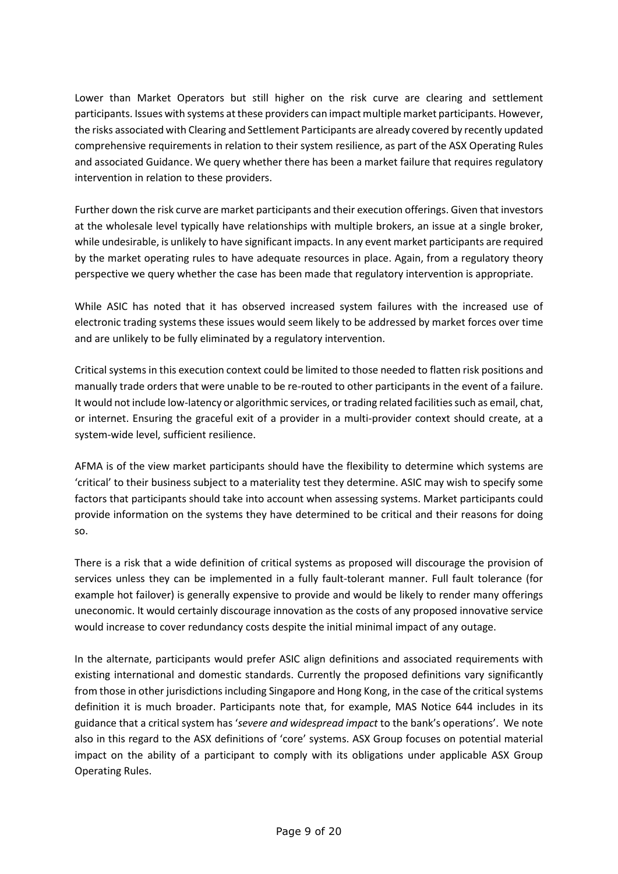Lower than Market Operators but still higher on the risk curve are clearing and settlement participants. Issues with systems at these providers can impact multiple market participants. However, the risks associated with Clearing and Settlement Participants are already covered by recently updated comprehensive requirements in relation to their system resilience, as part of the ASX Operating Rules and associated Guidance. We query whether there has been a market failure that requires regulatory intervention in relation to these providers.

Further down the risk curve are market participants and their execution offerings. Given that investors at the wholesale level typically have relationships with multiple brokers, an issue at a single broker, while undesirable, is unlikely to have significant impacts. In any event market participants are required by the market operating rules to have adequate resources in place. Again, from a regulatory theory perspective we query whether the case has been made that regulatory intervention is appropriate.

While ASIC has noted that it has observed increased system failures with the increased use of electronic trading systems these issues would seem likely to be addressed by market forces over time and are unlikely to be fully eliminated by a regulatory intervention.

Critical systems in this execution context could be limited to those needed to flatten risk positions and manually trade orders that were unable to be re-routed to other participants in the event of a failure. It would not include low-latency or algorithmic services, or trading related facilities such as email, chat, or internet. Ensuring the graceful exit of a provider in a multi-provider context should create, at a system-wide level, sufficient resilience.

AFMA is of the view market participants should have the flexibility to determine which systems are 'critical' to their business subject to a materiality test they determine. ASIC may wish to specify some factors that participants should take into account when assessing systems. Market participants could provide information on the systems they have determined to be critical and their reasons for doing so.

There is a risk that a wide definition of critical systems as proposed will discourage the provision of services unless they can be implemented in a fully fault-tolerant manner. Full fault tolerance (for example hot failover) is generally expensive to provide and would be likely to render many offerings uneconomic. It would certainly discourage innovation as the costs of any proposed innovative service would increase to cover redundancy costs despite the initial minimal impact of any outage.

In the alternate, participants would prefer ASIC align definitions and associated requirements with existing international and domestic standards. Currently the proposed definitions vary significantly from those in other jurisdictions including Singapore and Hong Kong, in the case of the critical systems definition it is much broader. Participants note that, for example, MAS Notice 644 includes in its guidance that a critical system has '*severe and widespread impact* to the bank's operations'. We note also in this regard to the ASX definitions of 'core' systems. ASX Group focuses on potential material impact on the ability of a participant to comply with its obligations under applicable ASX Group Operating Rules.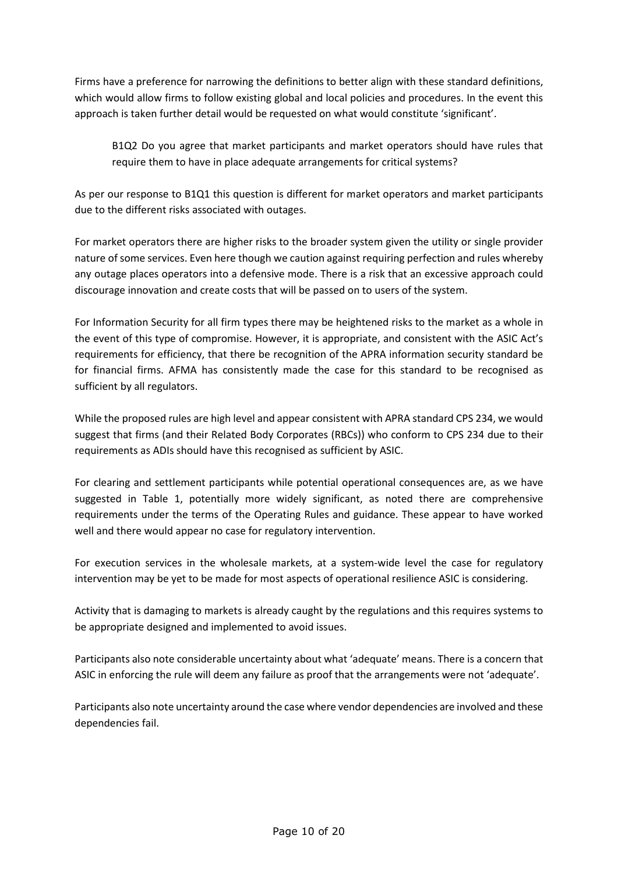Firms have a preference for narrowing the definitions to better align with these standard definitions, which would allow firms to follow existing global and local policies and procedures. In the event this approach is taken further detail would be requested on what would constitute 'significant'.

B1Q2 Do you agree that market participants and market operators should have rules that require them to have in place adequate arrangements for critical systems?

As per our response to B1Q1 this question is different for market operators and market participants due to the different risks associated with outages.

For market operators there are higher risks to the broader system given the utility or single provider nature of some services. Even here though we caution against requiring perfection and rules whereby any outage places operators into a defensive mode. There is a risk that an excessive approach could discourage innovation and create costs that will be passed on to users of the system.

For Information Security for all firm types there may be heightened risks to the market as a whole in the event of this type of compromise. However, it is appropriate, and consistent with the ASIC Act's requirements for efficiency, that there be recognition of the APRA information security standard be for financial firms. AFMA has consistently made the case for this standard to be recognised as sufficient by all regulators.

While the proposed rules are high level and appear consistent with APRA standard CPS 234, we would suggest that firms (and their Related Body Corporates (RBCs)) who conform to CPS 234 due to their requirements as ADIs should have this recognised as sufficient by ASIC.

For clearing and settlement participants while potential operational consequences are, as we have suggested in Table 1, potentially more widely significant, as noted there are comprehensive requirements under the terms of the Operating Rules and guidance. These appear to have worked well and there would appear no case for regulatory intervention.

For execution services in the wholesale markets, at a system-wide level the case for regulatory intervention may be yet to be made for most aspects of operational resilience ASIC is considering.

Activity that is damaging to markets is already caught by the regulations and this requires systems to be appropriate designed and implemented to avoid issues.

Participants also note considerable uncertainty about what 'adequate' means. There is a concern that ASIC in enforcing the rule will deem any failure as proof that the arrangements were not 'adequate'.

Participants also note uncertainty around the case where vendor dependencies are involved and these dependencies fail.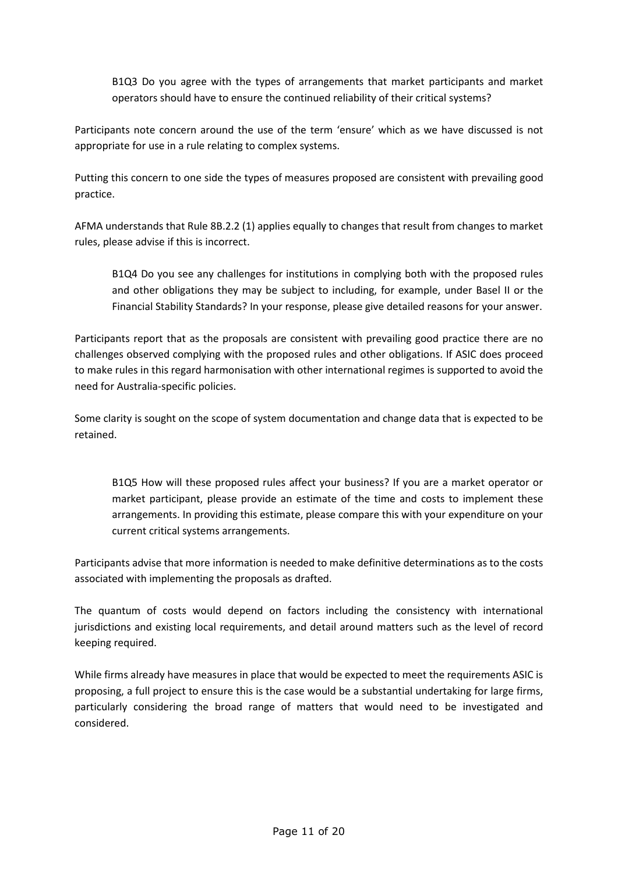B1Q3 Do you agree with the types of arrangements that market participants and market operators should have to ensure the continued reliability of their critical systems?

Participants note concern around the use of the term 'ensure' which as we have discussed is not appropriate for use in a rule relating to complex systems.

Putting this concern to one side the types of measures proposed are consistent with prevailing good practice.

AFMA understands that Rule 8B.2.2 (1) applies equally to changes that result from changes to market rules, please advise if this is incorrect.

B1Q4 Do you see any challenges for institutions in complying both with the proposed rules and other obligations they may be subject to including, for example, under Basel II or the Financial Stability Standards? In your response, please give detailed reasons for your answer.

Participants report that as the proposals are consistent with prevailing good practice there are no challenges observed complying with the proposed rules and other obligations. If ASIC does proceed to make rules in this regard harmonisation with other international regimes is supported to avoid the need for Australia-specific policies.

Some clarity is sought on the scope of system documentation and change data that is expected to be retained.

B1Q5 How will these proposed rules affect your business? If you are a market operator or market participant, please provide an estimate of the time and costs to implement these arrangements. In providing this estimate, please compare this with your expenditure on your current critical systems arrangements.

Participants advise that more information is needed to make definitive determinations as to the costs associated with implementing the proposals as drafted.

The quantum of costs would depend on factors including the consistency with international jurisdictions and existing local requirements, and detail around matters such as the level of record keeping required.

While firms already have measures in place that would be expected to meet the requirements ASIC is proposing, a full project to ensure this is the case would be a substantial undertaking for large firms, particularly considering the broad range of matters that would need to be investigated and considered.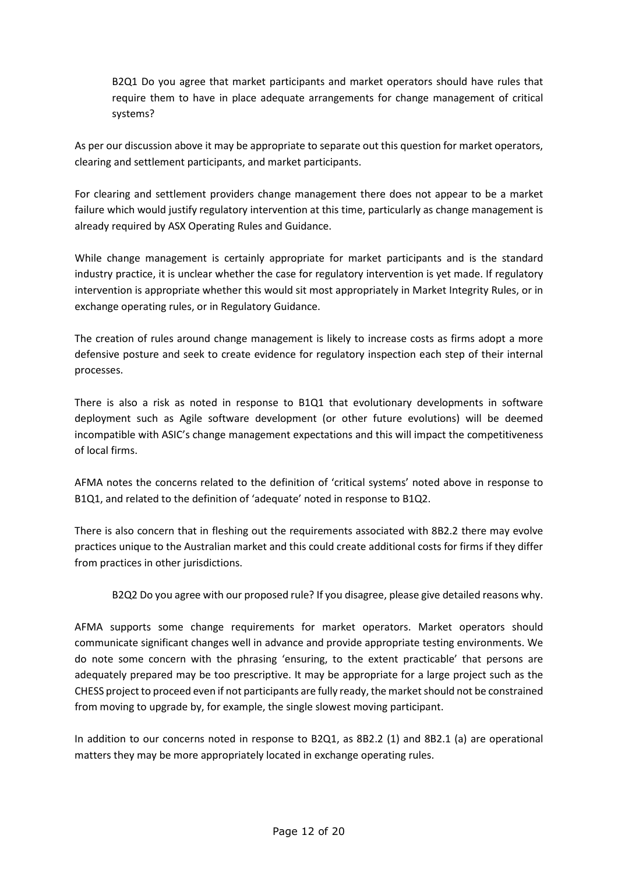B2Q1 Do you agree that market participants and market operators should have rules that require them to have in place adequate arrangements for change management of critical systems?

As per our discussion above it may be appropriate to separate out this question for market operators, clearing and settlement participants, and market participants.

For clearing and settlement providers change management there does not appear to be a market failure which would justify regulatory intervention at this time, particularly as change management is already required by ASX Operating Rules and Guidance.

While change management is certainly appropriate for market participants and is the standard industry practice, it is unclear whether the case for regulatory intervention is yet made. If regulatory intervention is appropriate whether this would sit most appropriately in Market Integrity Rules, or in exchange operating rules, or in Regulatory Guidance.

The creation of rules around change management is likely to increase costs as firms adopt a more defensive posture and seek to create evidence for regulatory inspection each step of their internal processes.

There is also a risk as noted in response to B1Q1 that evolutionary developments in software deployment such as Agile software development (or other future evolutions) will be deemed incompatible with ASIC's change management expectations and this will impact the competitiveness of local firms.

AFMA notes the concerns related to the definition of 'critical systems' noted above in response to B1Q1, and related to the definition of 'adequate' noted in response to B1Q2.

There is also concern that in fleshing out the requirements associated with 8B2.2 there may evolve practices unique to the Australian market and this could create additional costs for firms if they differ from practices in other jurisdictions.

B2Q2 Do you agree with our proposed rule? If you disagree, please give detailed reasons why.

AFMA supports some change requirements for market operators. Market operators should communicate significant changes well in advance and provide appropriate testing environments. We do note some concern with the phrasing 'ensuring, to the extent practicable' that persons are adequately prepared may be too prescriptive. It may be appropriate for a large project such as the CHESS project to proceed even if not participants are fully ready, the market should not be constrained from moving to upgrade by, for example, the single slowest moving participant.

In addition to our concerns noted in response to B2Q1, as 8B2.2 (1) and 8B2.1 (a) are operational matters they may be more appropriately located in exchange operating rules.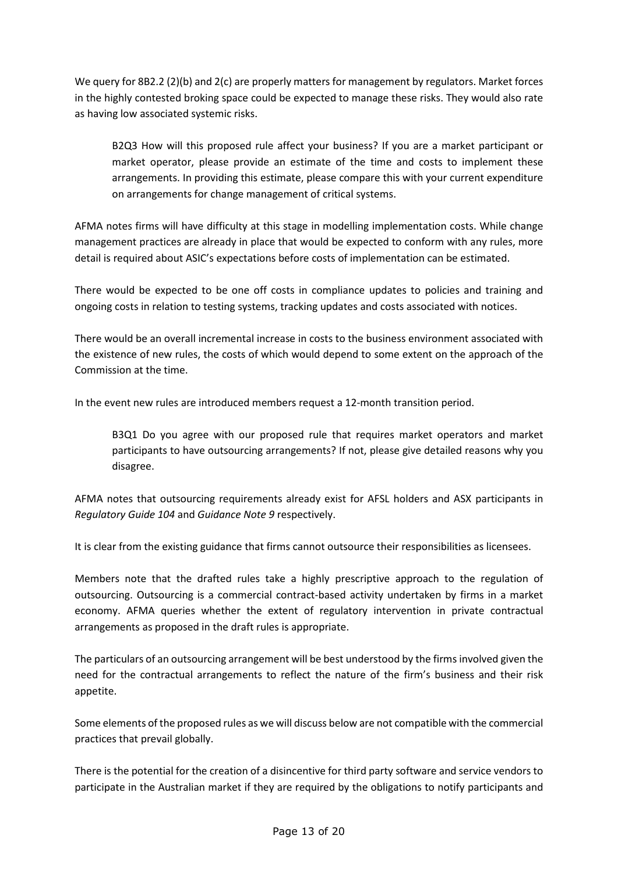We query for 8B2.2 (2)(b) and 2(c) are properly matters for management by regulators. Market forces in the highly contested broking space could be expected to manage these risks. They would also rate as having low associated systemic risks.

B2Q3 How will this proposed rule affect your business? If you are a market participant or market operator, please provide an estimate of the time and costs to implement these arrangements. In providing this estimate, please compare this with your current expenditure on arrangements for change management of critical systems.

AFMA notes firms will have difficulty at this stage in modelling implementation costs. While change management practices are already in place that would be expected to conform with any rules, more detail is required about ASIC's expectations before costs of implementation can be estimated.

There would be expected to be one off costs in compliance updates to policies and training and ongoing costs in relation to testing systems, tracking updates and costs associated with notices.

There would be an overall incremental increase in costs to the business environment associated with the existence of new rules, the costs of which would depend to some extent on the approach of the Commission at the time.

In the event new rules are introduced members request a 12-month transition period.

B3Q1 Do you agree with our proposed rule that requires market operators and market participants to have outsourcing arrangements? If not, please give detailed reasons why you disagree.

AFMA notes that outsourcing requirements already exist for AFSL holders and ASX participants in *Regulatory Guide 104* and *Guidance Note 9* respectively.

It is clear from the existing guidance that firms cannot outsource their responsibilities as licensees.

Members note that the drafted rules take a highly prescriptive approach to the regulation of outsourcing. Outsourcing is a commercial contract-based activity undertaken by firms in a market economy. AFMA queries whether the extent of regulatory intervention in private contractual arrangements as proposed in the draft rules is appropriate.

The particulars of an outsourcing arrangement will be best understood by the firms involved given the need for the contractual arrangements to reflect the nature of the firm's business and their risk appetite.

Some elements of the proposed rules as we will discuss below are not compatible with the commercial practices that prevail globally.

There is the potential for the creation of a disincentive for third party software and service vendors to participate in the Australian market if they are required by the obligations to notify participants and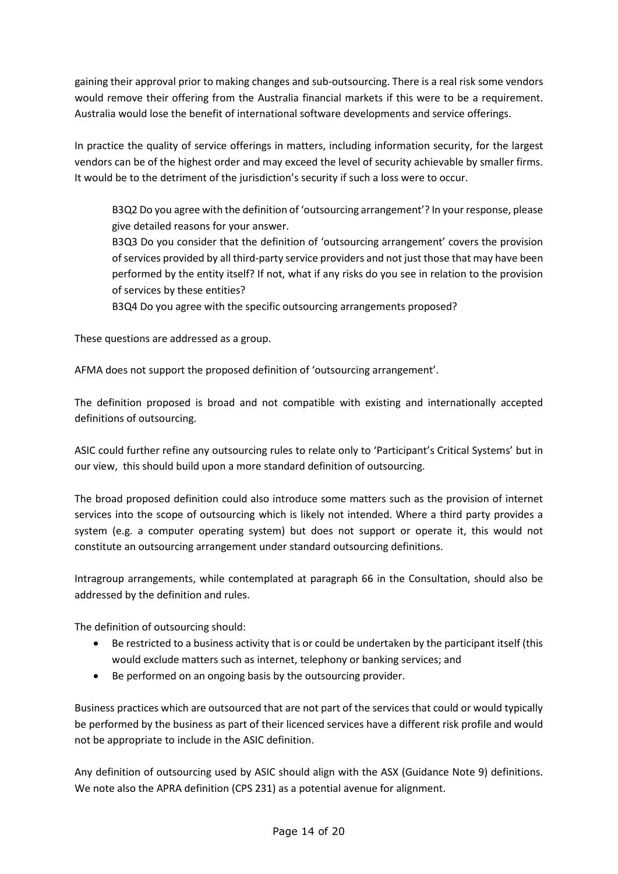gaining their approval prior to making changes and sub-outsourcing. There is a real risk some vendors would remove their offering from the Australia financial markets if this were to be a requirement. Australia would lose the benefit of international software developments and service offerings.

In practice the quality of service offerings in matters, including information security, for the largest vendors can be of the highest order and may exceed the level of security achievable by smaller firms. It would be to the detriment of the jurisdiction's security if such a loss were to occur.

B3Q2 Do you agree with the definition of 'outsourcing arrangement'? In your response, please give detailed reasons for your answer.

B3Q3 Do you consider that the definition of 'outsourcing arrangement' covers the provision of services provided by all third-party service providers and not just those that may have been performed by the entity itself? If not, what if any risks do you see in relation to the provision of services by these entities?

B3Q4 Do you agree with the specific outsourcing arrangements proposed?

These questions are addressed as a group.

AFMA does not support the proposed definition of 'outsourcing arrangement'.

The definition proposed is broad and not compatible with existing and internationally accepted definitions of outsourcing.

ASIC could further refine any outsourcing rules to relate only to 'Participant's Critical Systems' but in our view, this should build upon a more standard definition of outsourcing.

The broad proposed definition could also introduce some matters such as the provision of internet services into the scope of outsourcing which is likely not intended. Where a third party provides a system (e.g. a computer operating system) but does not support or operate it, this would not constitute an outsourcing arrangement under standard outsourcing definitions.

Intragroup arrangements, while contemplated at paragraph 66 in the Consultation, should also be addressed by the definition and rules.

The definition of outsourcing should:

- Be restricted to a business activity that is or could be undertaken by the participant itself (this would exclude matters such as internet, telephony or banking services; and
- Be performed on an ongoing basis by the outsourcing provider.

Business practices which are outsourced that are not part of the services that could or would typically be performed by the business as part of their licenced services have a different risk profile and would not be appropriate to include in the ASIC definition.

Any definition of outsourcing used by ASIC should align with the ASX (Guidance Note 9) definitions. We note also the APRA definition (CPS 231) as a potential avenue for alignment.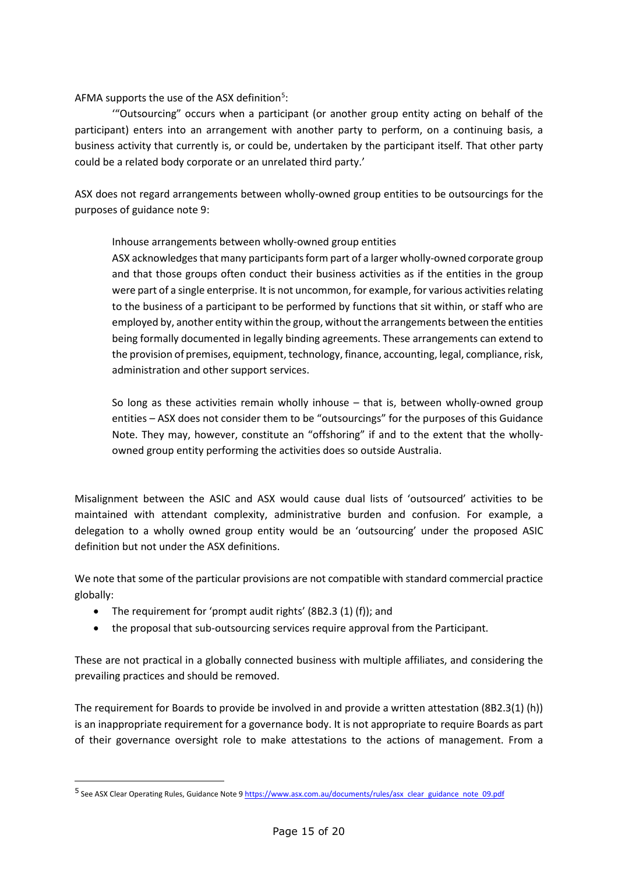AFMA supports the use of the ASX definition<sup>5</sup>:

'"Outsourcing" occurs when a participant (or another group entity acting on behalf of the participant) enters into an arrangement with another party to perform, on a continuing basis, a business activity that currently is, or could be, undertaken by the participant itself. That other party could be a related body corporate or an unrelated third party.'

ASX does not regard arrangements between wholly-owned group entities to be outsourcings for the purposes of guidance note 9:

Inhouse arrangements between wholly-owned group entities

ASX acknowledges that many participants form part of a larger wholly-owned corporate group and that those groups often conduct their business activities as if the entities in the group were part of a single enterprise. It is not uncommon, for example, for various activities relating to the business of a participant to be performed by functions that sit within, or staff who are employed by, another entity within the group, without the arrangements between the entities being formally documented in legally binding agreements. These arrangements can extend to the provision of premises, equipment, technology, finance, accounting, legal, compliance, risk, administration and other support services.

So long as these activities remain wholly inhouse – that is, between wholly-owned group entities – ASX does not consider them to be "outsourcings" for the purposes of this Guidance Note. They may, however, constitute an "offshoring" if and to the extent that the whollyowned group entity performing the activities does so outside Australia.

Misalignment between the ASIC and ASX would cause dual lists of 'outsourced' activities to be maintained with attendant complexity, administrative burden and confusion. For example, a delegation to a wholly owned group entity would be an 'outsourcing' under the proposed ASIC definition but not under the ASX definitions.

We note that some of the particular provisions are not compatible with standard commercial practice globally:

• The requirement for 'prompt audit rights' (8B2.3 (1) (f)); and

-

• the proposal that sub-outsourcing services require approval from the Participant.

These are not practical in a globally connected business with multiple affiliates, and considering the prevailing practices and should be removed.

The requirement for Boards to provide be involved in and provide a written attestation (8B2.3(1) (h)) is an inappropriate requirement for a governance body. It is not appropriate to require Boards as part of their governance oversight role to make attestations to the actions of management. From a

<sup>5</sup> See ASX Clear Operating Rules, Guidance Note 9 https://www.asx.com.au/documents/rules/asx clear guidance note 09.pdf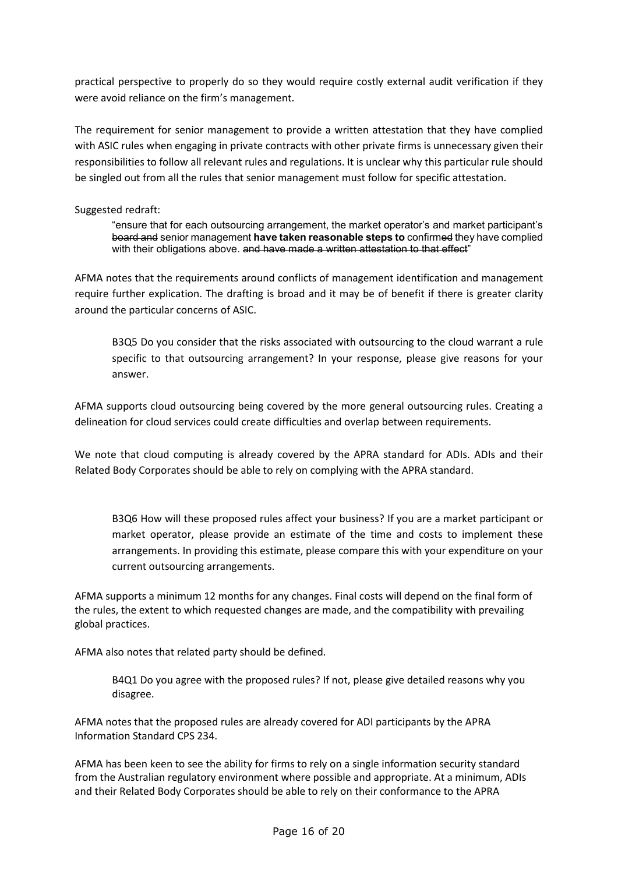practical perspective to properly do so they would require costly external audit verification if they were avoid reliance on the firm's management.

The requirement for senior management to provide a written attestation that they have complied with ASIC rules when engaging in private contracts with other private firms is unnecessary given their responsibilities to follow all relevant rules and regulations. It is unclear why this particular rule should be singled out from all the rules that senior management must follow for specific attestation.

## Suggested redraft:

"ensure that for each outsourcing arrangement, the market operator's and market participant's board and senior management **have taken reasonable steps to** confirmed they have complied with their obligations above. and have made a written attestation to that effect"

AFMA notes that the requirements around conflicts of management identification and management require further explication. The drafting is broad and it may be of benefit if there is greater clarity around the particular concerns of ASIC.

B3Q5 Do you consider that the risks associated with outsourcing to the cloud warrant a rule specific to that outsourcing arrangement? In your response, please give reasons for your answer.

AFMA supports cloud outsourcing being covered by the more general outsourcing rules. Creating a delineation for cloud services could create difficulties and overlap between requirements.

We note that cloud computing is already covered by the APRA standard for ADIs. ADIs and their Related Body Corporates should be able to rely on complying with the APRA standard.

B3Q6 How will these proposed rules affect your business? If you are a market participant or market operator, please provide an estimate of the time and costs to implement these arrangements. In providing this estimate, please compare this with your expenditure on your current outsourcing arrangements.

AFMA supports a minimum 12 months for any changes. Final costs will depend on the final form of the rules, the extent to which requested changes are made, and the compatibility with prevailing global practices.

AFMA also notes that related party should be defined.

B4Q1 Do you agree with the proposed rules? If not, please give detailed reasons why you disagree.

AFMA notes that the proposed rules are already covered for ADI participants by the APRA Information Standard CPS 234.

AFMA has been keen to see the ability for firms to rely on a single information security standard from the Australian regulatory environment where possible and appropriate. At a minimum, ADIs and their Related Body Corporates should be able to rely on their conformance to the APRA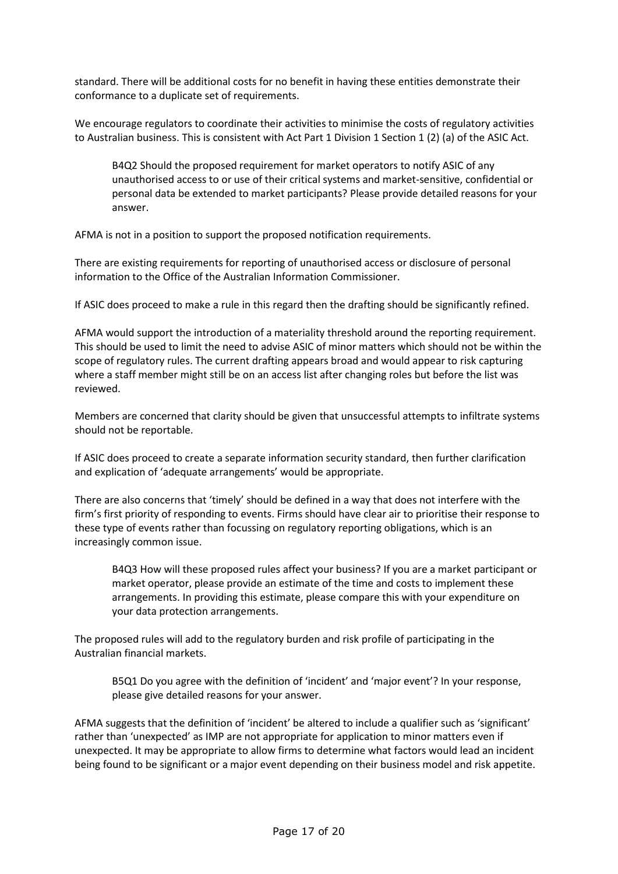standard. There will be additional costs for no benefit in having these entities demonstrate their conformance to a duplicate set of requirements.

We encourage regulators to coordinate their activities to minimise the costs of regulatory activities to Australian business. This is consistent with Act Part 1 Division 1 Section 1 (2) (a) of the ASIC Act.

B4Q2 Should the proposed requirement for market operators to notify ASIC of any unauthorised access to or use of their critical systems and market-sensitive, confidential or personal data be extended to market participants? Please provide detailed reasons for your answer.

AFMA is not in a position to support the proposed notification requirements.

There are existing requirements for reporting of unauthorised access or disclosure of personal information to the Office of the Australian Information Commissioner.

If ASIC does proceed to make a rule in this regard then the drafting should be significantly refined.

AFMA would support the introduction of a materiality threshold around the reporting requirement. This should be used to limit the need to advise ASIC of minor matters which should not be within the scope of regulatory rules. The current drafting appears broad and would appear to risk capturing where a staff member might still be on an access list after changing roles but before the list was reviewed.

Members are concerned that clarity should be given that unsuccessful attempts to infiltrate systems should not be reportable.

If ASIC does proceed to create a separate information security standard, then further clarification and explication of 'adequate arrangements' would be appropriate.

There are also concerns that 'timely' should be defined in a way that does not interfere with the firm's first priority of responding to events. Firms should have clear air to prioritise their response to these type of events rather than focussing on regulatory reporting obligations, which is an increasingly common issue.

B4Q3 How will these proposed rules affect your business? If you are a market participant or market operator, please provide an estimate of the time and costs to implement these arrangements. In providing this estimate, please compare this with your expenditure on your data protection arrangements.

The proposed rules will add to the regulatory burden and risk profile of participating in the Australian financial markets.

B5Q1 Do you agree with the definition of 'incident' and 'major event'? In your response, please give detailed reasons for your answer.

AFMA suggests that the definition of 'incident' be altered to include a qualifier such as 'significant' rather than 'unexpected' as IMP are not appropriate for application to minor matters even if unexpected. It may be appropriate to allow firms to determine what factors would lead an incident being found to be significant or a major event depending on their business model and risk appetite.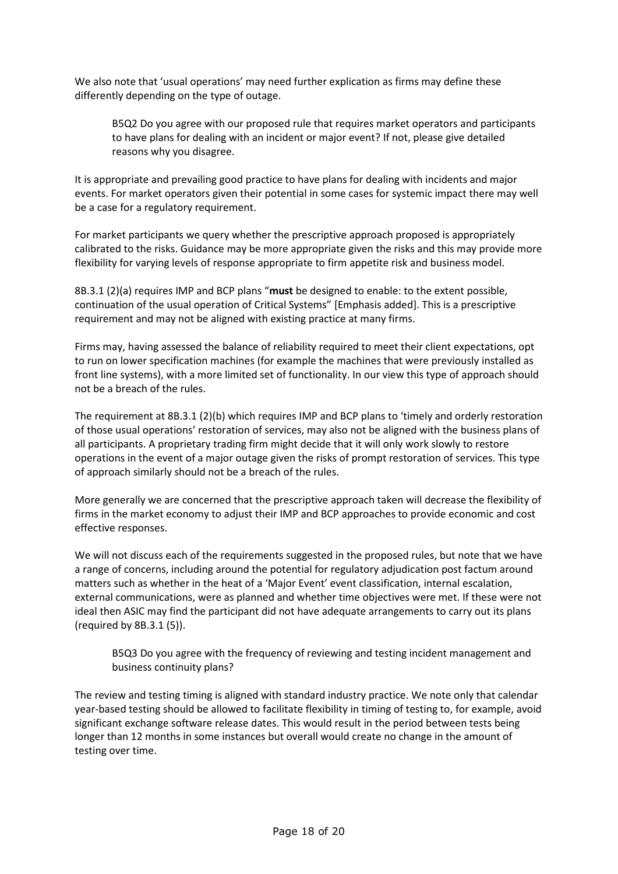We also note that 'usual operations' may need further explication as firms may define these differently depending on the type of outage.

B5Q2 Do you agree with our proposed rule that requires market operators and participants to have plans for dealing with an incident or major event? If not, please give detailed reasons why you disagree.

It is appropriate and prevailing good practice to have plans for dealing with incidents and major events. For market operators given their potential in some cases for systemic impact there may well be a case for a regulatory requirement.

For market participants we query whether the prescriptive approach proposed is appropriately calibrated to the risks. Guidance may be more appropriate given the risks and this may provide more flexibility for varying levels of response appropriate to firm appetite risk and business model.

8B.3.1 (2)(a) requires IMP and BCP plans "**must** be designed to enable: to the extent possible, continuation of the usual operation of Critical Systems" [Emphasis added]. This is a prescriptive requirement and may not be aligned with existing practice at many firms.

Firms may, having assessed the balance of reliability required to meet their client expectations, opt to run on lower specification machines (for example the machines that were previously installed as front line systems), with a more limited set of functionality. In our view this type of approach should not be a breach of the rules.

The requirement at 8B.3.1 (2)(b) which requires IMP and BCP plans to 'timely and orderly restoration of those usual operations' restoration of services, may also not be aligned with the business plans of all participants. A proprietary trading firm might decide that it will only work slowly to restore operations in the event of a major outage given the risks of prompt restoration of services. This type of approach similarly should not be a breach of the rules.

More generally we are concerned that the prescriptive approach taken will decrease the flexibility of firms in the market economy to adjust their IMP and BCP approaches to provide economic and cost effective responses.

We will not discuss each of the requirements suggested in the proposed rules, but note that we have a range of concerns, including around the potential for regulatory adjudication post factum around matters such as whether in the heat of a 'Major Event' event classification, internal escalation, external communications, were as planned and whether time objectives were met. If these were not ideal then ASIC may find the participant did not have adequate arrangements to carry out its plans (required by 8B.3.1 (5)).

B5Q3 Do you agree with the frequency of reviewing and testing incident management and business continuity plans?

The review and testing timing is aligned with standard industry practice. We note only that calendar year-based testing should be allowed to facilitate flexibility in timing of testing to, for example, avoid significant exchange software release dates. This would result in the period between tests being longer than 12 months in some instances but overall would create no change in the amount of testing over time.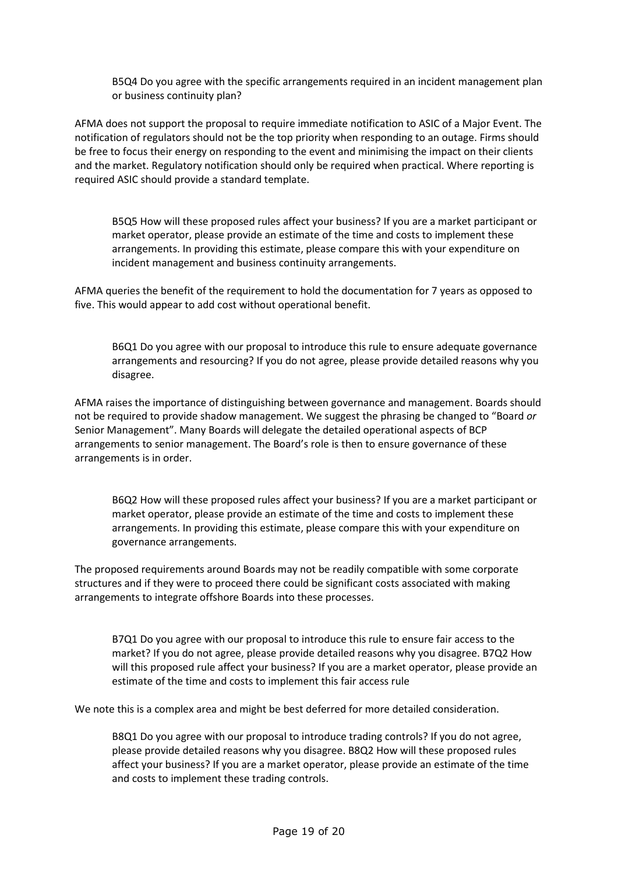B5Q4 Do you agree with the specific arrangements required in an incident management plan or business continuity plan?

AFMA does not support the proposal to require immediate notification to ASIC of a Major Event. The notification of regulators should not be the top priority when responding to an outage. Firms should be free to focus their energy on responding to the event and minimising the impact on their clients and the market. Regulatory notification should only be required when practical. Where reporting is required ASIC should provide a standard template.

B5Q5 How will these proposed rules affect your business? If you are a market participant or market operator, please provide an estimate of the time and costs to implement these arrangements. In providing this estimate, please compare this with your expenditure on incident management and business continuity arrangements.

AFMA queries the benefit of the requirement to hold the documentation for 7 years as opposed to five. This would appear to add cost without operational benefit.

B6Q1 Do you agree with our proposal to introduce this rule to ensure adequate governance arrangements and resourcing? If you do not agree, please provide detailed reasons why you disagree.

AFMA raises the importance of distinguishing between governance and management. Boards should not be required to provide shadow management. We suggest the phrasing be changed to "Board *or* Senior Management". Many Boards will delegate the detailed operational aspects of BCP arrangements to senior management. The Board's role is then to ensure governance of these arrangements is in order.

B6Q2 How will these proposed rules affect your business? If you are a market participant or market operator, please provide an estimate of the time and costs to implement these arrangements. In providing this estimate, please compare this with your expenditure on governance arrangements.

The proposed requirements around Boards may not be readily compatible with some corporate structures and if they were to proceed there could be significant costs associated with making arrangements to integrate offshore Boards into these processes.

B7Q1 Do you agree with our proposal to introduce this rule to ensure fair access to the market? If you do not agree, please provide detailed reasons why you disagree. B7Q2 How will this proposed rule affect your business? If you are a market operator, please provide an estimate of the time and costs to implement this fair access rule

We note this is a complex area and might be best deferred for more detailed consideration.

B8Q1 Do you agree with our proposal to introduce trading controls? If you do not agree, please provide detailed reasons why you disagree. B8Q2 How will these proposed rules affect your business? If you are a market operator, please provide an estimate of the time and costs to implement these trading controls.